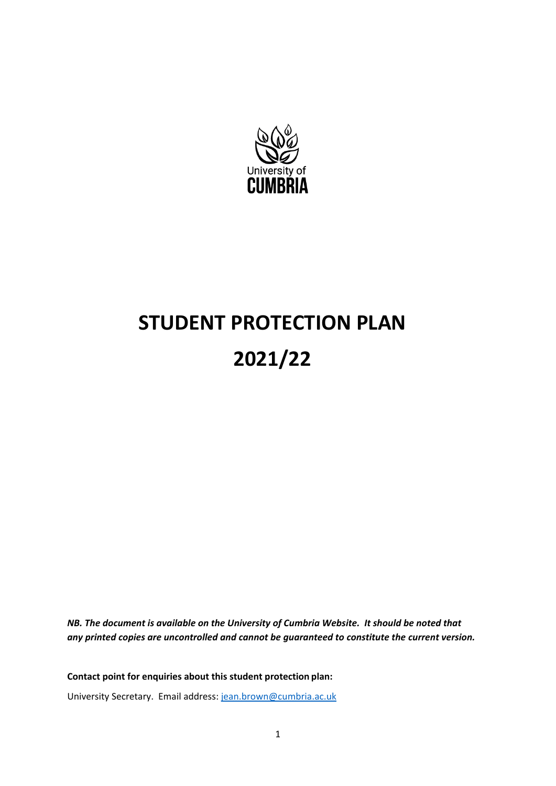

# **STUDENT PROTECTION PLAN 2021/22**

*NB. The document is available on the University of Cumbria Website. It should be noted that any printed copies are uncontrolled and cannot be guaranteed to constitute the current version.*

**Contact point for enquiries about this student protection plan:** University Secretary. Email address: [jean.brown@cumbria.ac.uk](mailto:andrea.horrocks@cumbria.ac.uk)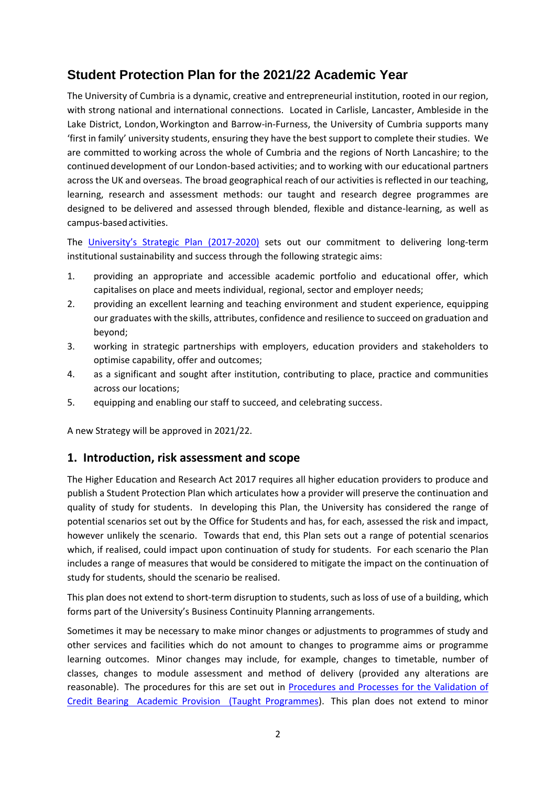## **Student Protection Plan for the 2021/22 Academic Year**

The University of Cumbria is a dynamic, creative and entrepreneurial institution, rooted in our region, with strong national and international connections. Located in Carlisle, Lancaster, Ambleside in the Lake District, London,Workington and Barrow-in-Furness, the University of Cumbria supports many 'first in family' university students, ensuring they have the best support to complete their studies. We are committed to working across the whole of Cumbria and the regions of North Lancashire; to the continued development of our London-based activities; and to working with our educational partners across the UK and overseas. The broad geographical reach of our activities is reflected in our teaching, learning, research and assessment methods: our taught and research degree programmes are designed to be delivered and assessed through blended, flexible and distance-learning, as well as campus-basedactivities.

The University['s Strategic Plan \(2017](https://www.cumbria.ac.uk/media/university-of-cumbria-website/style-assets/landing-pages/strategic-plan/uoc-strategic-plan-2017-2020.pdf)-2020) sets out our commitment to delivering long-term institutional sustainability and success through the following strategic aims:

- 1. providing an appropriate and accessible academic portfolio and educational offer, which capitalises on place and meets individual, regional, sector and employer needs;
- 2. providing an excellent learning and teaching environment and student experience, equipping our graduates with the skills, attributes, confidence and resilience to succeed on graduation and beyond;
- 3. working in strategic partnerships with employers, education providers and stakeholders to optimise capability, offer and outcomes;
- 4. as a significant and sought after institution, contributing to place, practice and communities across our locations;
- 5. equipping and enabling our staff to succeed, and celebrating success.

A new Strategy will be approved in 2021/22.

## **1. Introduction, risk assessment and scope**

The Higher Education and Research Act 2017 requires all higher education providers to produce and publish a Student Protection Plan which articulates how a provider will preserve the continuation and quality of study for students. In developing this Plan, the University has considered the range of potential scenarios set out by the Office for Students and has, for each, assessed the risk and impact, however unlikely the scenario. Towards that end, this Plan sets out a range of potential scenarios which, if realised, could impact upon continuation of study for students. For each scenario the Plan includes a range of measures that would be considered to mitigate the impact on the continuation of study for students, should the scenario be realised.

This plan does not extend to short-term disruption to students, such as loss of use of a building, which forms part of the University's Business Continuity Planning arrangements.

Sometimes it may be necessary to make minor changes or adjustments to programmes of study and other services and facilities which do not amount to changes to programme aims or programme learning outcomes. Minor changes may include, for example, changes to timetable, number of classes, changes to module assessment and method of delivery (provided any alterations are reasonable). The procedures for this are set out in [Procedures and Processes for the Validation of](https://www.cumbria.ac.uk/media/university-of-cumbria-website/content-assets/public/aqs/documents/externaladvisors/Validation-Procedures-and-Processes.pdf)  [Credit Bearing Academic Provision \(Taught Programmes\)](https://www.cumbria.ac.uk/media/university-of-cumbria-website/content-assets/public/aqs/documents/externaladvisors/Validation-Procedures-and-Processes.pdf). This plan does not extend to minor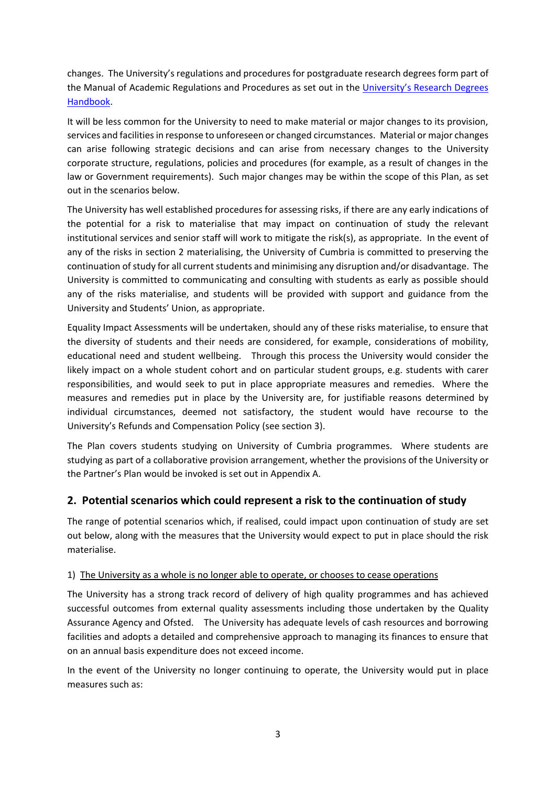changes. The University's regulations and procedures for postgraduate research degrees form part of the Manual of Academic Regulations and Procedures as set out in the [University's Research Degrees](https://www.cumbria.ac.uk/media/university-of-cumbria-website/content-assets/public/aqs/documents/academicregulations/PgR-Assessment-Regulations.pdf)  [Handbook.](https://www.cumbria.ac.uk/media/university-of-cumbria-website/content-assets/public/aqs/documents/academicregulations/PgR-Assessment-Regulations.pdf)

It will be less common for the University to need to make material or major changes to its provision, services and facilities in response to unforeseen or changed circumstances. Material or major changes can arise following strategic decisions and can arise from necessary changes to the University corporate structure, regulations, policies and procedures (for example, as a result of changes in the law or Government requirements). Such major changes may be within the scope of this Plan, as set out in the scenarios below.

The University has well established procedures for assessing risks, if there are any early indications of the potential for a risk to materialise that may impact on continuation of study the relevant institutional services and senior staff will work to mitigate the risk(s), as appropriate. In the event of any of the risks in section 2 materialising, the University of Cumbria is committed to preserving the continuation of study for all current students and minimising any disruption and/or disadvantage. The University is committed to communicating and consulting with students as early as possible should any of the risks materialise, and students will be provided with support and guidance from the University and Students' Union, as appropriate.

Equality Impact Assessments will be undertaken, should any of these risks materialise, to ensure that the diversity of students and their needs are considered, for example, considerations of mobility, educational need and student wellbeing. Through this process the University would consider the likely impact on a whole student cohort and on particular student groups, e.g. students with carer responsibilities, and would seek to put in place appropriate measures and remedies. Where the measures and remedies put in place by the University are, for justifiable reasons determined by individual circumstances, deemed not satisfactory, the student would have recourse to the University's Refunds and Compensation Policy (see section 3).

The Plan covers students studying on University of Cumbria programmes. Where students are studying as part of a collaborative provision arrangement, whether the provisions of the University or the Partner's Plan would be invoked is set out in Appendix A.

### **2. Potential scenarios which could represent a risk to the continuation of study**

The range of potential scenarios which, if realised, could impact upon continuation of study are set out below, along with the measures that the University would expect to put in place should the risk materialise.

#### 1) The University as a whole is no longer able to operate, or chooses to cease operations

The University has a strong track record of delivery of high quality programmes and has achieved successful outcomes from external quality assessments including those undertaken by the Quality Assurance Agency and Ofsted. The University has adequate levels of cash resources and borrowing facilities and adopts a detailed and comprehensive approach to managing its finances to ensure that on an annual basis expenditure does not exceed income.

In the event of the University no longer continuing to operate, the University would put in place measures such as: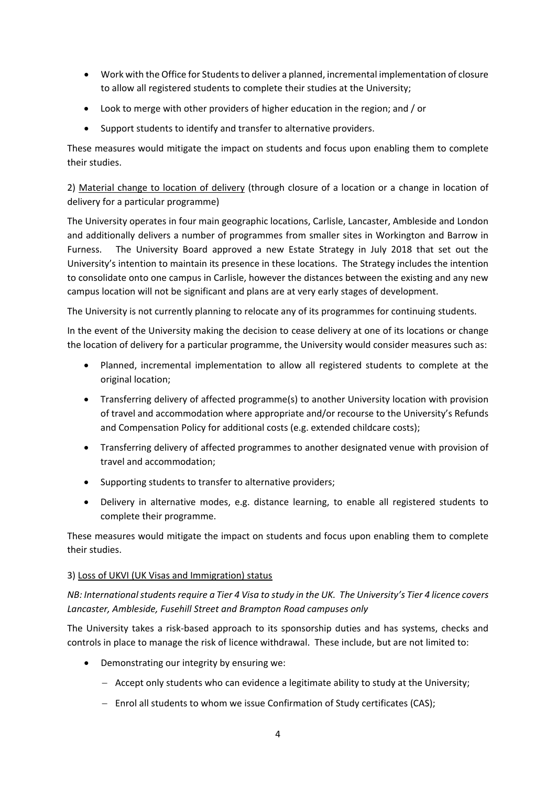- Work with the Office for Students to deliver a planned, incremental implementation of closure to allow all registered students to complete their studies at the University;
- Look to merge with other providers of higher education in the region; and / or
- Support students to identify and transfer to alternative providers.

These measures would mitigate the impact on students and focus upon enabling them to complete their studies.

2) Material change to location of delivery (through closure of a location or a change in location of delivery for a particular programme)

The University operates in four main geographic locations, Carlisle, Lancaster, Ambleside and London and additionally delivers a number of programmes from smaller sites in Workington and Barrow in Furness. The University Board approved a new Estate Strategy in July 2018 that set out the University's intention to maintain its presence in these locations. The Strategy includes the intention to consolidate onto one campus in Carlisle, however the distances between the existing and any new campus location will not be significant and plans are at very early stages of development.

The University is not currently planning to relocate any of its programmes for continuing students.

In the event of the University making the decision to cease delivery at one of its locations or change the location of delivery for a particular programme, the University would consider measures such as:

- Planned, incremental implementation to allow all registered students to complete at the original location;
- Transferring delivery of affected programme(s) to another University location with provision of travel and accommodation where appropriate and/or recourse to the University's Refunds and Compensation Policy for additional costs (e.g. extended childcare costs);
- Transferring delivery of affected programmes to another designated venue with provision of travel and accommodation;
- Supporting students to transfer to alternative providers;
- Delivery in alternative modes, e.g. distance learning, to enable all registered students to complete their programme.

These measures would mitigate the impact on students and focus upon enabling them to complete their studies.

#### 3) Loss of UKVI (UK Visas and Immigration) status

*NB: International students require a Tier 4 Visa to study in the UK. The University's Tier 4 licence covers Lancaster, Ambleside, Fusehill Street and Brampton Road campuses only*

The University takes a risk-based approach to its sponsorship duties and has systems, checks and controls in place to manage the risk of licence withdrawal. These include, but are not limited to:

- Demonstrating our integrity by ensuring we:
	- − Accept only students who can evidence a legitimate ability to study at the University;
	- − Enrol all students to whom we issue Confirmation of Study certificates (CAS);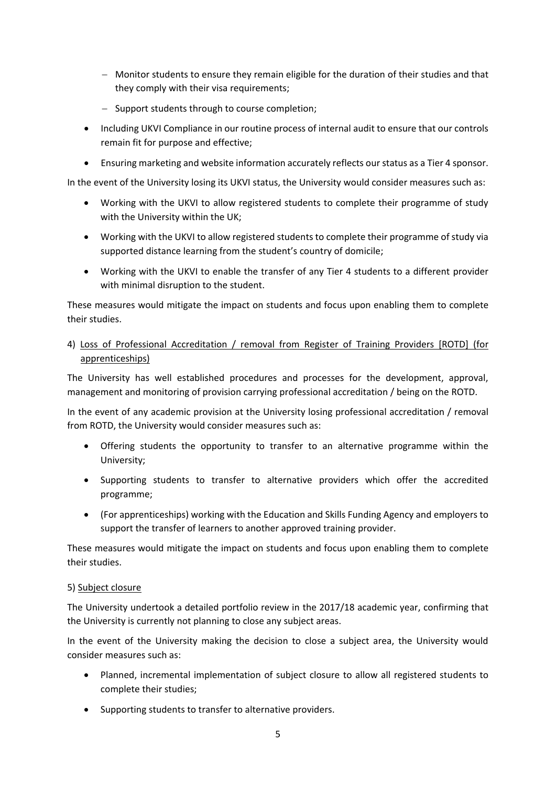- − Monitor students to ensure they remain eligible for the duration of their studies and that they comply with their visa requirements;
- − Support students through to course completion;
- Including UKVI Compliance in our routine process of internal audit to ensure that our controls remain fit for purpose and effective;
- Ensuring marketing and website information accurately reflects our status as a Tier 4 sponsor.

In the event of the University losing its UKVI status, the University would consider measures such as:

- Working with the UKVI to allow registered students to complete their programme of study with the University within the UK;
- Working with the UKVI to allow registered students to complete their programme of study via supported distance learning from the student's country of domicile;
- Working with the UKVI to enable the transfer of any Tier 4 students to a different provider with minimal disruption to the student.

These measures would mitigate the impact on students and focus upon enabling them to complete their studies.

#### 4) Loss of Professional Accreditation / removal from Register of Training Providers [ROTD] (for apprenticeships)

The University has well established procedures and processes for the development, approval, management and monitoring of provision carrying professional accreditation / being on the ROTD.

In the event of any academic provision at the University losing professional accreditation / removal from ROTD, the University would consider measures such as:

- Offering students the opportunity to transfer to an alternative programme within the University;
- Supporting students to transfer to alternative providers which offer the accredited programme;
- (For apprenticeships) working with the Education and Skills Funding Agency and employers to support the transfer of learners to another approved training provider.

These measures would mitigate the impact on students and focus upon enabling them to complete their studies.

#### 5) Subject closure

The University undertook a detailed portfolio review in the 2017/18 academic year, confirming that the University is currently not planning to close any subject areas.

In the event of the University making the decision to close a subject area, the University would consider measures such as:

- Planned, incremental implementation of subject closure to allow all registered students to complete their studies;
- Supporting students to transfer to alternative providers.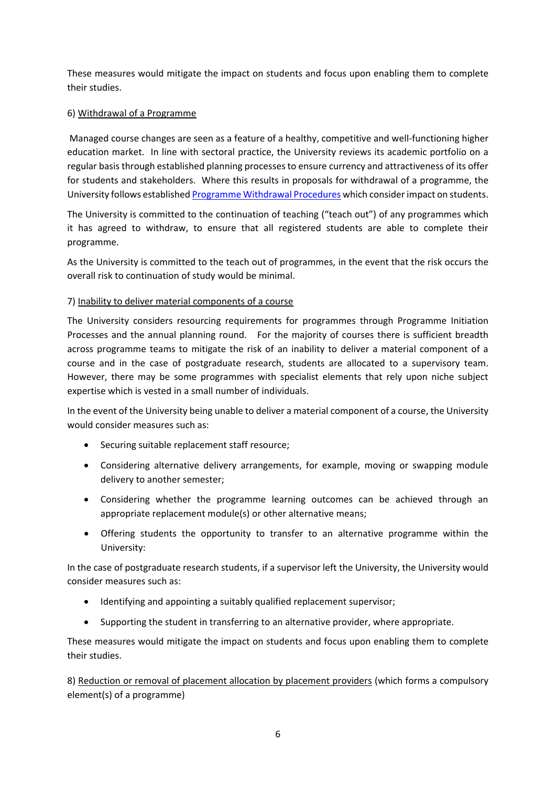These measures would mitigate the impact on students and focus upon enabling them to complete their studies.

#### 6) Withdrawal of a Programme

Managed course changes are seen as a feature of a healthy, competitive and well-functioning higher education market. In line with sectoral practice, the University reviews its academic portfolio on a regular basis through established planning processes to ensure currency and attractiveness of its offer for students and stakeholders. Where this results in proposals for withdrawal of a programme, the University follows established [Programme Withdrawal Procedures](https://my.cumbria.ac.uk/media/University-of-Cumbria-Website/Content-Assets/Public/AQS/Documents/Policies/Programme-Withdrawal-and-Suspension-Procedure.docx) which consider impact on students.

The University is committed to the continuation of teaching ("teach out") of any programmes which it has agreed to withdraw, to ensure that all registered students are able to complete their programme.

As the University is committed to the teach out of programmes, in the event that the risk occurs the overall risk to continuation of study would be minimal.

#### 7) Inability to deliver material components of a course

The University considers resourcing requirements for programmes through Programme Initiation Processes and the annual planning round. For the majority of courses there is sufficient breadth across programme teams to mitigate the risk of an inability to deliver a material component of a course and in the case of postgraduate research, students are allocated to a supervisory team. However, there may be some programmes with specialist elements that rely upon niche subject expertise which is vested in a small number of individuals.

In the event of the University being unable to deliver a material component of a course, the University would consider measures such as:

- Securing suitable replacement staff resource;
- Considering alternative delivery arrangements, for example, moving or swapping module delivery to another semester;
- Considering whether the programme learning outcomes can be achieved through an appropriate replacement module(s) or other alternative means;
- Offering students the opportunity to transfer to an alternative programme within the University:

In the case of postgraduate research students, if a supervisor left the University, the University would consider measures such as:

- Identifying and appointing a suitably qualified replacement supervisor;
- Supporting the student in transferring to an alternative provider, where appropriate.

These measures would mitigate the impact on students and focus upon enabling them to complete their studies.

8) Reduction or removal of placement allocation by placement providers (which forms a compulsory element(s) of a programme)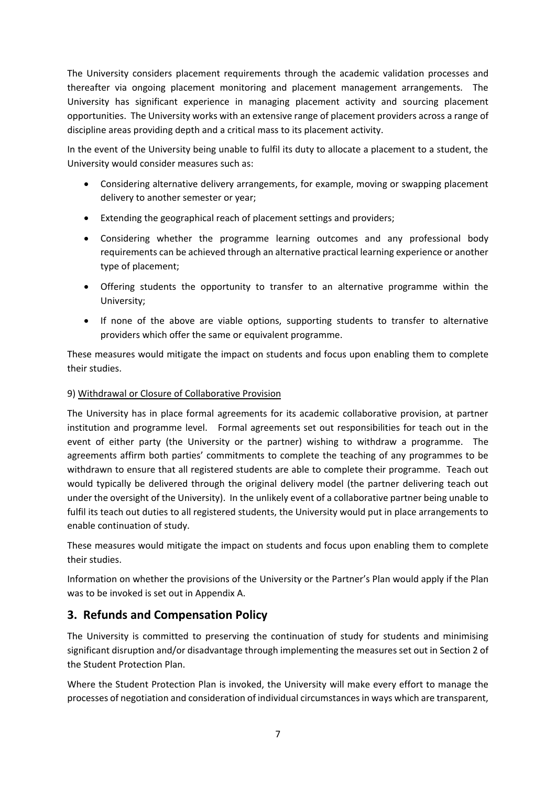The University considers placement requirements through the academic validation processes and thereafter via ongoing placement monitoring and placement management arrangements. The University has significant experience in managing placement activity and sourcing placement opportunities. The University works with an extensive range of placement providers across a range of discipline areas providing depth and a critical mass to its placement activity.

In the event of the University being unable to fulfil its duty to allocate a placement to a student, the University would consider measures such as:

- Considering alternative delivery arrangements, for example, moving or swapping placement delivery to another semester or year;
- Extending the geographical reach of placement settings and providers;
- Considering whether the programme learning outcomes and any professional body requirements can be achieved through an alternative practical learning experience or another type of placement;
- Offering students the opportunity to transfer to an alternative programme within the University;
- If none of the above are viable options, supporting students to transfer to alternative providers which offer the same or equivalent programme.

These measures would mitigate the impact on students and focus upon enabling them to complete their studies.

#### 9) Withdrawal or Closure of Collaborative Provision

The University has in place formal agreements for its academic collaborative provision, at partner institution and programme level. Formal agreements set out responsibilities for teach out in the event of either party (the University or the partner) wishing to withdraw a programme. The agreements affirm both parties' commitments to complete the teaching of any programmes to be withdrawn to ensure that all registered students are able to complete their programme. Teach out would typically be delivered through the original delivery model (the partner delivering teach out under the oversight of the University). In the unlikely event of a collaborative partner being unable to fulfil its teach out duties to all registered students, the University would put in place arrangements to enable continuation of study.

These measures would mitigate the impact on students and focus upon enabling them to complete their studies.

Information on whether the provisions of the University or the Partner's Plan would apply if the Plan was to be invoked is set out in Appendix A.

## **3. Refunds and Compensation Policy**

The University is committed to preserving the continuation of study for students and minimising significant disruption and/or disadvantage through implementing the measures set out in Section 2 of the Student Protection Plan.

Where the Student Protection Plan is invoked, the University will make every effort to manage the processes of negotiation and consideration of individual circumstances in ways which are transparent,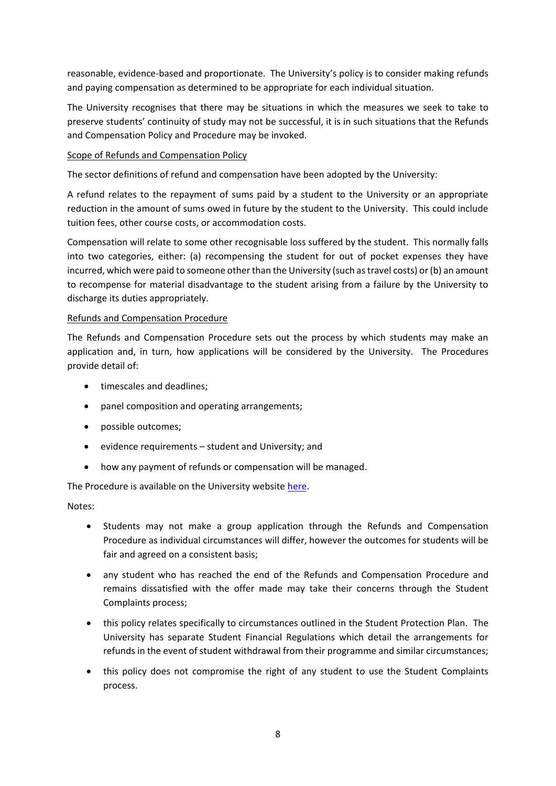reasonable, evidence-based and proportionate. The University's policy is to consider making refunds and paying compensation as determined to be appropriate for each individual situation.

The University recognises that there may be situations in which the measures we seek to take to preserve students' continuity of study may not be successful, it is in such situations that the Refunds and Compensation Policy and Procedure may be invoked.

#### Scope of Refunds and Compensation Policy

The sector definitions of refund and compensation have been adopted by the University:

A refund relates to the repayment of sums paid by a student to the University or an appropriate reduction in the amount of sums owed in future by the student to the University. This could include tuition fees, other course costs, or accommodation costs.

Compensation will relate to some other recognisable loss suffered by the student. This normally falls into two categories, either: (a) recompensing the student for out of pocket expenses they have incurred, which were paid to someone other than the University (such as travel costs) or (b) an amount to recompense for material disadvantage to the student arising from a failure by the University to discharge its duties appropriately.

#### Refunds and Compensation Procedure

The Refunds and Compensation Procedure sets out the process by which students may make an application and, in turn, how applications will be considered by the University. The Procedures provide detail of:

- timescales and deadlines;
- panel composition and operating arrangements;
- possible outcomes;
- evidence requirements student and University; and
- how any payment of refunds or compensation will be managed.

The Procedure is available on the University website [here.](https://www.cumbria.ac.uk/spp)

Notes:

- Students may not make a group application through the Refunds and Compensation Procedure as individual circumstances will differ, however the outcomes for students will be fair and agreed on a consistent basis;
- any student who has reached the end of the Refunds and Compensation Procedure and remains dissatisfied with the offer made may take their concerns through the Student Complaints process;
- this policy relates specifically to circumstances outlined in the Student Protection Plan. The University has separate Student Financial Regulations which detail the arrangements for refunds in the event of student withdrawal from their programme and similar circumstances;
- this policy does not compromise the right of any student to use the Student Complaints process.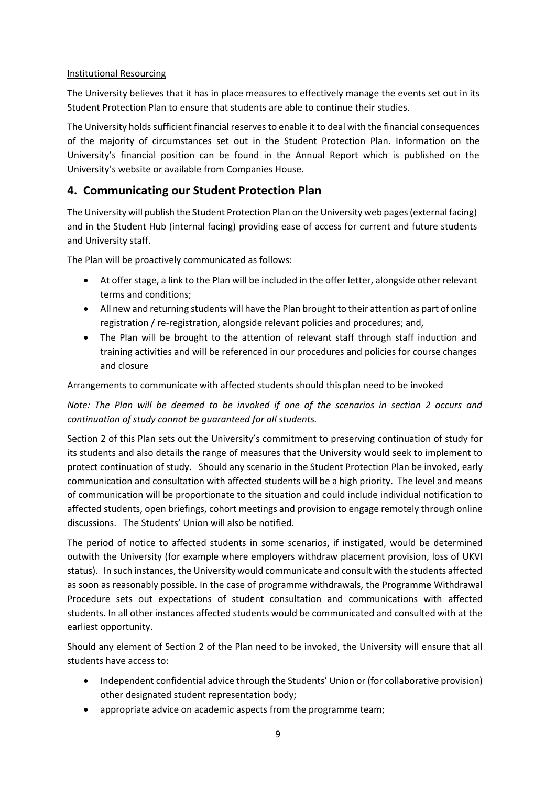#### Institutional Resourcing

The University believes that it has in place measures to effectively manage the events set out in its Student Protection Plan to ensure that students are able to continue their studies.

The University holds sufficient financial reserves to enable it to deal with the financial consequences of the majority of circumstances set out in the Student Protection Plan. Information on the University's financial position can be found in the Annual Report which is published on the University's website or available from Companies House.

## **4. Communicating our Student Protection Plan**

The University will publish the Student Protection Plan on the University web pages (external facing) and in the Student Hub (internal facing) providing ease of access for current and future students and University staff.

The Plan will be proactively communicated as follows:

- At offer stage, a link to the Plan will be included in the offer letter, alongside other relevant terms and conditions;
- All new and returning students will have the Plan brought to their attention as part of online registration / re-registration, alongside relevant policies and procedures; and,
- The Plan will be brought to the attention of relevant staff through staff induction and training activities and will be referenced in our procedures and policies for course changes and closure

#### Arrangements to communicate with affected students should thisplan need to be invoked

*Note: The Plan will be deemed to be invoked if one of the scenarios in section 2 occurs and continuation of study cannot be guaranteed for all students.*

Section 2 of this Plan sets out the University's commitment to preserving continuation of study for its students and also details the range of measures that the University would seek to implement to protect continuation of study. Should any scenario in the Student Protection Plan be invoked, early communication and consultation with affected students will be a high priority. The level and means of communication will be proportionate to the situation and could include individual notification to affected students, open briefings, cohort meetings and provision to engage remotely through online discussions. The Students' Union will also be notified.

The period of notice to affected students in some scenarios, if instigated, would be determined outwith the University (for example where employers withdraw placement provision, loss of UKVI status). In such instances, the University would communicate and consult with the students affected as soon as reasonably possible. In the case of programme withdrawals, the Programme Withdrawal Procedure sets out expectations of student consultation and communications with affected students. In all other instances affected students would be communicated and consulted with at the earliest opportunity.

Should any element of Section 2 of the Plan need to be invoked, the University will ensure that all students have access to:

- Independent confidential advice through the Students' Union or (for collaborative provision) other designated student representation body;
- appropriate advice on academic aspects from the programme team;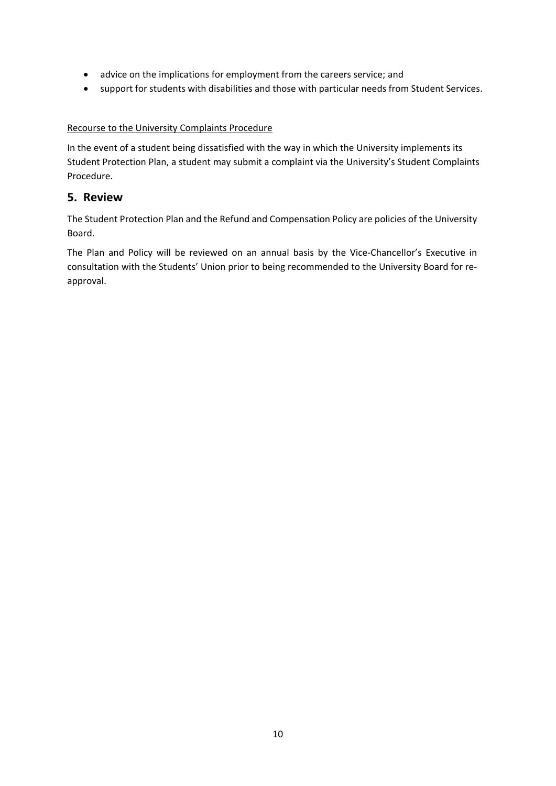- advice on the implications for employment from the careers service; and
- support for students with disabilities and those with particular needs from Student Services.

#### Recourse to the University Complaints Procedure

In the event of a student being dissatisfied with the way in which the University implements its Student Protection Plan, a student may submit a complaint via the University's Student Complaints Procedure.

### **5. Review**

The Student Protection Plan and the Refund and Compensation Policy are policies of the University Board.

The Plan and Policy will be reviewed on an annual basis by the Vice-Chancellor's Executive in consultation with the Students' Union prior to being recommended to the University Board for reapproval.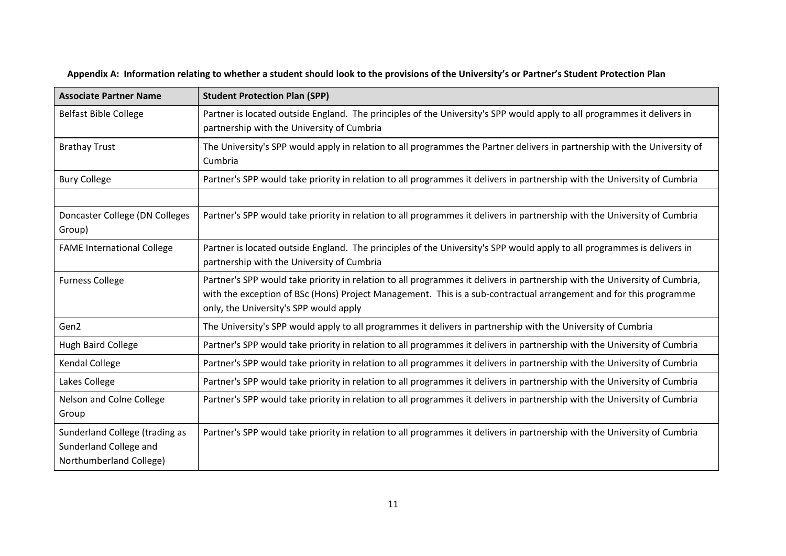| <b>Associate Partner Name</b>                                                       | <b>Student Protection Plan (SPP)</b>                                                                                                                                                                                                                                                      |
|-------------------------------------------------------------------------------------|-------------------------------------------------------------------------------------------------------------------------------------------------------------------------------------------------------------------------------------------------------------------------------------------|
| <b>Belfast Bible College</b>                                                        | Partner is located outside England. The principles of the University's SPP would apply to all programmes it delivers in<br>partnership with the University of Cumbria                                                                                                                     |
| <b>Brathay Trust</b>                                                                | The University's SPP would apply in relation to all programmes the Partner delivers in partnership with the University of<br>Cumbria                                                                                                                                                      |
| <b>Bury College</b>                                                                 | Partner's SPP would take priority in relation to all programmes it delivers in partnership with the University of Cumbria                                                                                                                                                                 |
|                                                                                     |                                                                                                                                                                                                                                                                                           |
| Doncaster College (DN Colleges<br>Group)                                            | Partner's SPP would take priority in relation to all programmes it delivers in partnership with the University of Cumbria                                                                                                                                                                 |
| <b>FAME International College</b>                                                   | Partner is located outside England. The principles of the University's SPP would apply to all programmes is delivers in<br>partnership with the University of Cumbria                                                                                                                     |
| <b>Furness College</b>                                                              | Partner's SPP would take priority in relation to all programmes it delivers in partnership with the University of Cumbria,<br>with the exception of BSc (Hons) Project Management. This is a sub-contractual arrangement and for this programme<br>only, the University's SPP would apply |
| Gen2                                                                                | The University's SPP would apply to all programmes it delivers in partnership with the University of Cumbria                                                                                                                                                                              |
| <b>Hugh Baird College</b>                                                           | Partner's SPP would take priority in relation to all programmes it delivers in partnership with the University of Cumbria                                                                                                                                                                 |
| Kendal College                                                                      | Partner's SPP would take priority in relation to all programmes it delivers in partnership with the University of Cumbria                                                                                                                                                                 |
| Lakes College                                                                       | Partner's SPP would take priority in relation to all programmes it delivers in partnership with the University of Cumbria                                                                                                                                                                 |
| Nelson and Colne College<br>Group                                                   | Partner's SPP would take priority in relation to all programmes it delivers in partnership with the University of Cumbria                                                                                                                                                                 |
| Sunderland College (trading as<br>Sunderland College and<br>Northumberland College) | Partner's SPP would take priority in relation to all programmes it delivers in partnership with the University of Cumbria                                                                                                                                                                 |

**Appendix A: Information relating to whether a student should look to the provisions of the University's or Partner's Student Protection Plan**